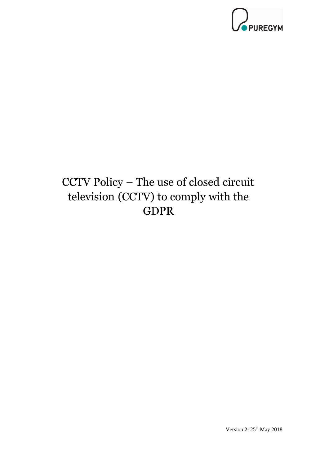

## CCTV Policy – The use of closed circuit television (CCTV) to comply with the GDPR